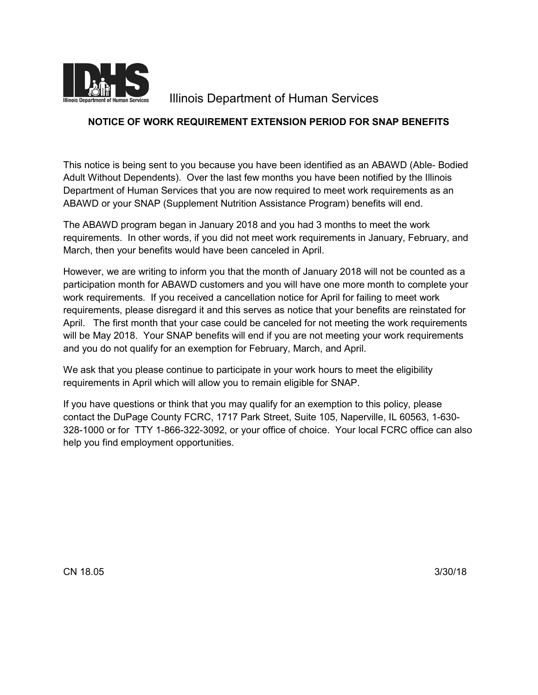

## Illinois Department of Human Services

## **NOTICE OF WORK REQUIREMENT EXTENSION PERIOD FOR SNAP BENEFITS**

This notice is being sent to you because you have been identified as an ABAWD (Able- Bodied Adult Without Dependents). Over the last few months you have been notified by the Illinois Department of Human Services that you are now required to meet work requirements as an ABAWD or your SNAP (Supplement Nutrition Assistance Program) benefits will end.

The ABAWD program began in January 2018 and you had 3 months to meet the work requirements. In other words, if you did not meet work requirements in January, February, and March, then your benefits would have been canceled in April.

However, we are writing to inform you that the month of January 2018 will not be counted as a participation month for ABAWD customers and you will have one more month to complete your work requirements. If you received a cancellation notice for April for failing to meet work requirements, please disregard it and this serves as notice that your benefits are reinstated for April. The first month that your case could be canceled for not meeting the work requirements will be May 2018. Your SNAP benefits will end if you are not meeting your work requirements and you do not qualify for an exemption for February, March, and April.

We ask that you please continue to participate in your work hours to meet the eligibility requirements in April which will allow you to remain eligible for SNAP.

If you have questions or think that you may qualify for an exemption to this policy, please contact the DuPage County FCRC, 1717 Park Street, Suite 105, Naperville, IL 60563, 1-630- 328-1000 or for TTY 1-866-322-3092, or your office of choice. Your local FCRC office can also help you find employment opportunities.

CN 18.05 3/30/18